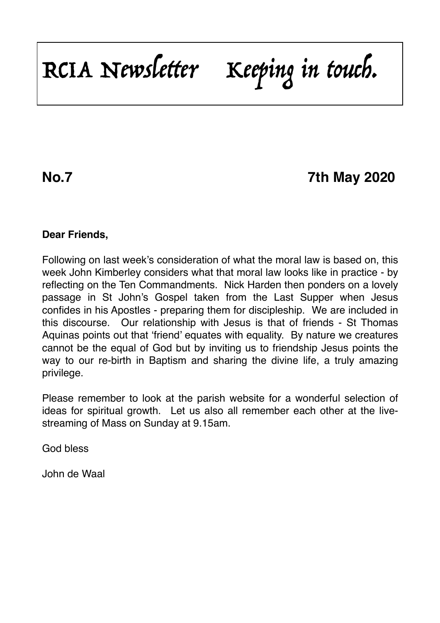RCIA Newsletter Keeping in touch.

**No.7 7th May 2020**

### **Dear Friends,**

Following on last week's consideration of what the moral law is based on, this week John Kimberley considers what that moral law looks like in practice - by reflecting on the Ten Commandments. Nick Harden then ponders on a lovely passage in St John's Gospel taken from the Last Supper when Jesus confides in his Apostles - preparing them for discipleship. We are included in this discourse. Our relationship with Jesus is that of friends - St Thomas Aquinas points out that 'friend' equates with equality. By nature we creatures cannot be the equal of God but by inviting us to friendship Jesus points the way to our re-birth in Baptism and sharing the divine life, a truly amazing privilege.

Please remember to look at the parish website for a wonderful selection of ideas for spiritual growth. Let us also all remember each other at the livestreaming of Mass on Sunday at 9.15am.

God bless

John de Waal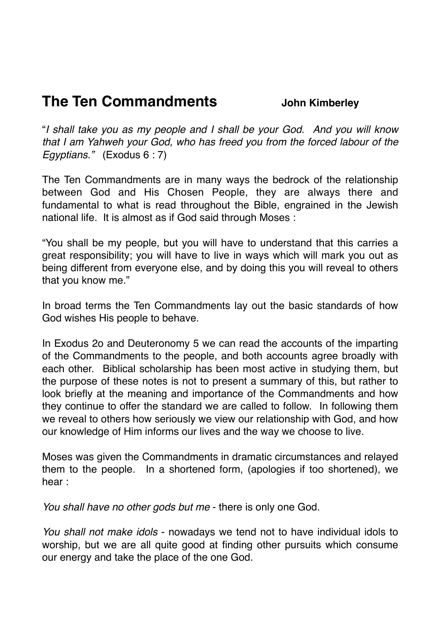# **The Ten Commandments** John Kimberley

"*I shall take you as my people and I shall be your God. And you will know that I am Yahweh your God, who has freed you from the forced labour of the Egyptians."* (Exodus 6 : 7)

The Ten Commandments are in many ways the bedrock of the relationship between God and His Chosen People, they are always there and fundamental to what is read throughout the Bible, engrained in the Jewish national life. It is almost as if God said through Moses :

"You shall be my people, but you will have to understand that this carries a great responsibility; you will have to live in ways which will mark you out as being different from everyone else, and by doing this you will reveal to others that you know me."

In broad terms the Ten Commandments lay out the basic standards of how God wishes His people to behave.

In Exodus 2o and Deuteronomy 5 we can read the accounts of the imparting of the Commandments to the people, and both accounts agree broadly with each other. Biblical scholarship has been most active in studying them, but the purpose of these notes is not to present a summary of this, but rather to look briefly at the meaning and importance of the Commandments and how they continue to offer the standard we are called to follow. In following them we reveal to others how seriously we view our relationship with God, and how our knowledge of Him informs our lives and the way we choose to live.

Moses was given the Commandments in dramatic circumstances and relayed them to the people. In a shortened form, (apologies if too shortened), we hear :

*You shall have no other gods but me* - there is only one God.

*You shall not make idols* - nowadays we tend not to have individual idols to worship, but we are all quite good at finding other pursuits which consume our energy and take the place of the one God.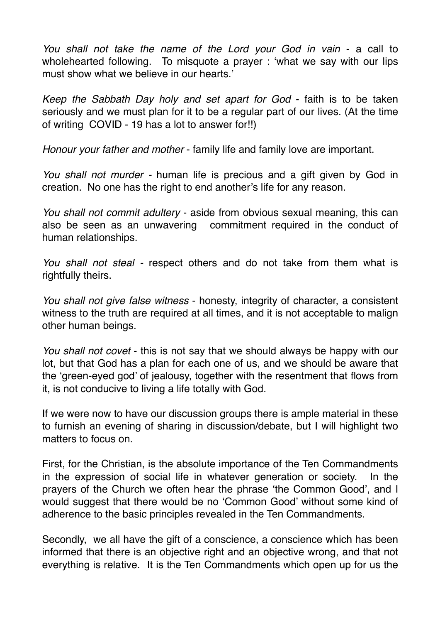*You shall not take the name of the Lord your God in vain* - a call to wholehearted following. To misquote a prayer : 'what we say with our lips must show what we believe in our hearts.'

*Keep the Sabbath Day holy and set apart for God* - faith is to be taken seriously and we must plan for it to be a regular part of our lives. (At the time of writing COVID - 19 has a lot to answer for!!)

*Honour your father and mother* - family life and family love are important.

*You shall not murder -* human life is precious and a gift given by God in creation. No one has the right to end another's life for any reason.

*You shall not commit adultery* - aside from obvious sexual meaning, this can also be seen as an unwavering commitment required in the conduct of human relationships.

*You shall not steal -* respect others and do not take from them what is rightfully theirs.

*You shall not give false witness* - honesty, integrity of character, a consistent witness to the truth are required at all times, and it is not acceptable to malign other human beings.

*You shall not covet* - this is not say that we should always be happy with our lot, but that God has a plan for each one of us, and we should be aware that the 'green-eyed god' of jealousy, together with the resentment that flows from it, is not conducive to living a life totally with God.

If we were now to have our discussion groups there is ample material in these to furnish an evening of sharing in discussion/debate, but I will highlight two matters to focus on.

First, for the Christian, is the absolute importance of the Ten Commandments in the expression of social life in whatever generation or society. In the prayers of the Church we often hear the phrase 'the Common Good', and I would suggest that there would be no 'Common Good' without some kind of adherence to the basic principles revealed in the Ten Commandments.

Secondly, we all have the gift of a conscience, a conscience which has been informed that there is an objective right and an objective wrong, and that not everything is relative. It is the Ten Commandments which open up for us the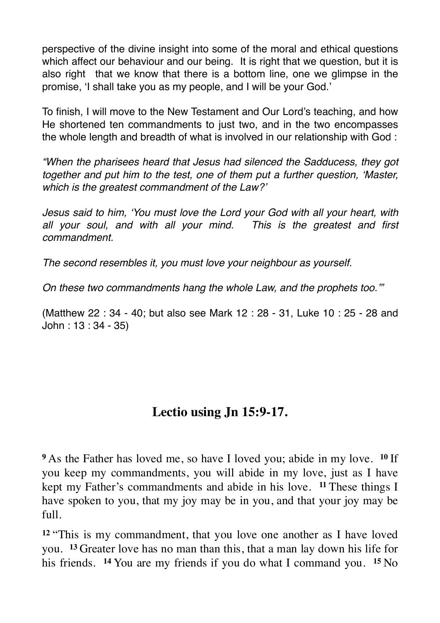perspective of the divine insight into some of the moral and ethical questions which affect our behaviour and our being. It is right that we question, but it is also right that we know that there is a bottom line, one we glimpse in the promise, 'I shall take you as my people, and I will be your God.'

To finish, I will move to the New Testament and Our Lord's teaching, and how He shortened ten commandments to just two, and in the two encompasses the whole length and breadth of what is involved in our relationship with God :

*"When the pharisees heard that Jesus had silenced the Sadducess, they got together and put him to the test, one of them put a further question, 'Master, which is the greatest commandment of the Law?'*

*Jesus said to him, 'You must love the Lord your God with all your heart, with all your soul, and with all your mind. This is the greatest and first commandment.*

*The second resembles it, you must love your neighbour as yourself.*

*On these two commandments hang the whole Law, and the prophets too.'"*

(Matthew 22 : 34 - 40; but also see Mark 12 : 28 - 31, Luke 10 : 25 - 28 and John : 13 : 34 - 35)

# **Lectio using Jn 15:9-17.**

**<sup>9</sup>**As the Father has loved me, so have I loved you; abide in my love. **<sup>10</sup>** If you keep my commandments, you will abide in my love, just as I have kept my Father's commandments and abide in his love. **11** These things I have spoken to you, that my joy may be in you, and that your joy may be full.

**<sup>12</sup>** "This is my commandment, that you love one another as I have loved you. **<sup>13</sup>** Greater love has no man than this, that a man lay down his life for his friends. **<sup>14</sup>** You are my friends if you do what I command you. **<sup>15</sup>** No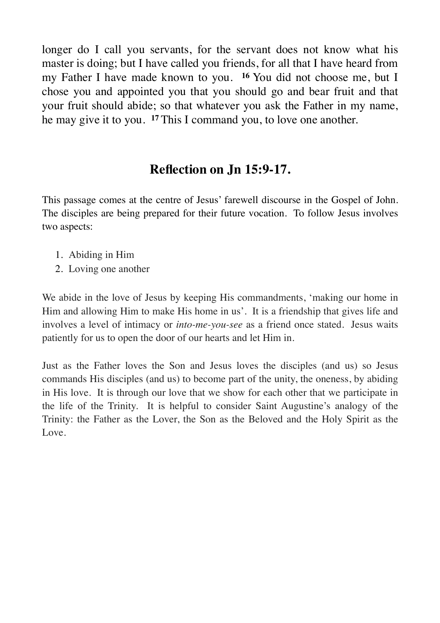longer do I call you servants, for the servant does not know what his master is doing; but I have called you friends, for all that I have heard from my Father I have made known to you. **<sup>16</sup>** You did not choose me, but I chose you and appointed you that you should go and bear fruit and that your fruit should abide; so that whatever you ask the Father in my name, he may give it to you. **<sup>17</sup>** This I command you, to love one another.

## **Reflection on Jn 15:9-17.**

This passage comes at the centre of Jesus' farewell discourse in the Gospel of John. The disciples are being prepared for their future vocation. To follow Jesus involves two aspects:

- 1. Abiding in Him
- 2. Loving one another

We abide in the love of Jesus by keeping His commandments, 'making our home in Him and allowing Him to make His home in us'. It is a friendship that gives life and involves a level of intimacy or *into-me-you-see* as a friend once stated. Jesus waits patiently for us to open the door of our hearts and let Him in.

Just as the Father loves the Son and Jesus loves the disciples (and us) so Jesus commands His disciples (and us) to become part of the unity, the oneness, by abiding in His love. It is through our love that we show for each other that we participate in the life of the Trinity. It is helpful to consider Saint Augustine's analogy of the Trinity: the Father as the Lover, the Son as the Beloved and the Holy Spirit as the Love.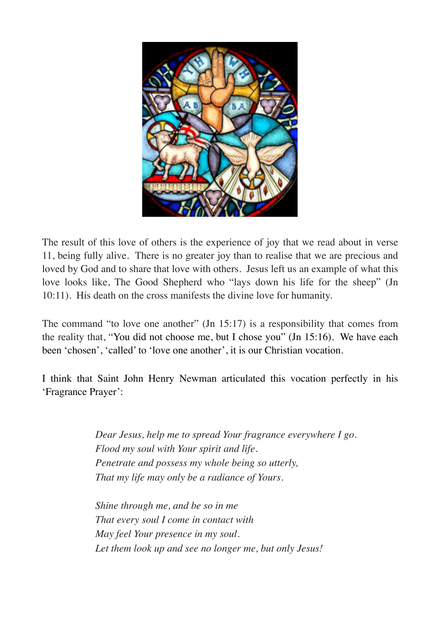

The result of this love of others is the experience of joy that we read about in verse 11, being fully alive. There is no greater joy than to realise that we are precious and loved by God and to share that love with others. Jesus left us an example of what this love looks like, The Good Shepherd who "lays down his life for the sheep" (Jn 10:11). His death on the cross manifests the divine love for humanity.

The command "to love one another" (Jn 15:17) is a responsibility that comes from the reality that, "You did not choose me, but I chose you" (Jn 15:16). We have each been 'chosen', 'called' to 'love one another', it is our Christian vocation.

I think that Saint John Henry Newman articulated this vocation perfectly in his 'Fragrance Prayer':

> *Dear Jesus, help me to spread Your fragrance everywhere I go. Flood my soul with Your spirit and life. Penetrate and possess my whole being so utterly, That my life may only be a radiance of Yours.*

*Shine through me, and be so in me That every soul I come in contact with May feel Your presence in my soul. Let them look up and see no longer me, but only Jesus!*